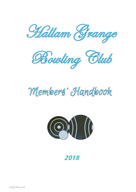



# Members' Handbook



**2018**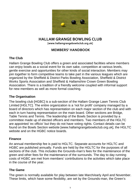

## **HALLAM GRANGE BOWLING CLUB**

**[www.hallamgrangebowlsclub.org.uk]**

#### **MEMBERS' HANDBOOK**

#### **The Club**

Hallam Grange Bowling Club offers a green and associated facilities where members can enjoy bowls as a social event for its own sake, competition at various levels, gentle exercise and opportunities for other kinds of social interaction. Members may join together to form competitive teams to take part in the various leagues which are organized by the Sheffield & District Parks Bowling Association, Sheffield & District Works Sports Association and Sheffield & Hallamshire Crown Green Bowling Association. There is a tradition of a friendly welcome coupled with informal support for new members as well as more formal coaching.

#### **The Organisation**

The bowling club [HGBC] is a sub-section of the Hallam Grange Lawn Tennis Club Limited [HGLTC]. The entire organization is a 'not for profit' company managed by a board of directors which has representation on each major section of the club and with each in turn having representation on the main board. Other sections are Bridge, Table Tennis and Tennis. The leadership of the Bowls Section is provided by a committee made up of elected officers and members. Two members of the HGLTC are appointed 'ex officio' but they do not have voting rights. Contact details can be found on the Bowls Section website [www.hallamgrangebowlsclub.org.uk], the HGLTC website and on the HGBC notice boards.

#### **Finance**

An annual membership fee is paid to HGLTC. Separate accounts for HGLTC and HGBC are published annually. Funds are held by the HGLTC for the purposes of all sections of the club. This includes the Grounds-man's fees for the maintenance of the green and other fees for the maintenance of the surrounds. The day to day running costs of HGBC are met from members' contributions to the activities which take place in the course of the year.

#### **The Game**

The green is normally available for play between late March/early April and November. These limits, which have some flexibility, are set by the Grounds-man, the Green's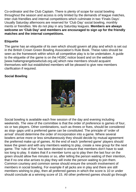Co-ordinator and the Club Captain. There is plenty of scope for social bowling throughout the season and access is only limited by the demands of league matches, inter club friendlies and internal competitions which culminate in two 'Finals Days'. Usually Saturday afternoons are reserved for 'Club Day' social bowling, monthly merits or friendlies. We do not play in any Saturday leagues. **Members are always welcome on 'Club Day' and members are encouraged to sign up for the friendly matches and the internal competitions.**

#### **Etiquette**

The game has an etiquette of its own which should govern all play and which is set out in the British Crown Green Bowling Association's Rule Book. These rules should be seen as the framework within which all competitive play is to be undertaken. A guide to the etiquette of the game is on the HGBC notice board and on the website [www.hallamgrangebowlsclub.org.uk] which new members should acquaint themselves with but established members will be pleased to give new members clarification if required.

#### **Social Bowling**



Social bowling is available each free session of the day and evening including weekends. The view of the committee is that the order of preference is games of four, six or two players. Other combinations, such as threes or fives, should be considered as stop- gaps until a preferred game can be constituted. The principle of 'order of arrival' should determine the order of incorporation into a game. Where several bowlers arrive more or less simultaneously they should decide by mutual agreement the preferred make up of games. At the end of each 'preferred game' players should leave the green and with any members waiting to play, create a new group for the next game. The 'rule of five' has been devised to ensure that members don't have to wait too long to play. It states that if a member turns up to play then the last four on the green should allow five minutes or so, after telling the person waiting of their intention, that if no one else arrives to play they will invite the person waiting to join them. Common courtesy and common sense should ensure the smooth involvement of members in social bowling. For example if all jacks are in play and there are still members wishing to play, then all preferred games in which the score is 10 or under should conclude at a winning score of 15. All other preferred games should go through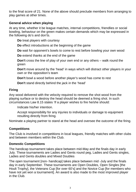to the final score of 21. None of the above should preclude members from arranging to play games at other times.

#### **General advice when playing**

At any time, whether it be league matches, internal competitions, friendlies or social bowling, behaviour on the green makes certain demands which may be expressed in the following do's and don'ts.

**Do** treat players with courtesy

**Do** effect introductions at the beginning of the game

**Do** wait for opponent's bowls to come to rest before bowling your own wood

**Do** extend thanks at the end of the game

**Don't** cross the line of play of your own end or any others – walk round the green

**Don't** move around by the 'head' in ways which will distract other players in your own or the opposition's team

**Don't** bowl a wood before another player's wood has come to rest

**Don't** stand directly behind the jack in the 'head'

## **Firing**

Any wood delivered with the velocity required to remove the shot wood from the playing surface or to destroy the head should be deemed a firing shot. In such circumstances Law 8.15 states 'If a player wishes to fire he/she should:

Indicate his/her intention.

Accept responsibility for any injuries to individuals or damage to equipment resulting directly from firing.

Nominate a playing partner to stand at the head and oversee the outcome of the firing.

## **Competitions**

The Club is involved in competitions in local leagues, friendly matches with other clubs and between members within the Club.

## **Domestic Competitions**

The handicap tournament takes place between mid-May and the finals day in early July. These tournaments are Ladies and Gents round peg, Ladies and Gents singles, Ladies and Gents doubles and Mixed Doubles

The open tournament [non- handicap] takes place between mid -July and the finals day in early September. These tournaments are Open Doubles, Open Singles [the Hoult Trophy], the Veterans Cup [for over 60's] and the Novice Cup [for members who have not yet won a tournament]. An award is also made to the most improved player in the Club.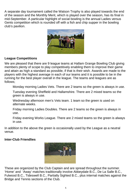A separate day tournament called the Watson Trophy is also played towards the end of the season and the Monthly Merit, which is played over the season, has its final in mid-September. A particular highlight of social bowling is the annual Ladies versus Gents competition which is rounded off with a fish and chip supper in the bowling club's pavilion.



#### **League Competitions**

We are pleased that there are 9 league teams at Hallam Grange Bowling Club giving members plenty of scope to play competitively enabling them to improve their game and attain as high a standard as possible, if that is their wish. Awards are made to the players with the highest average in each of our teams and it is possible to be in the running for the best player overall in the league. The teams and leagues are as follows;

Monday morning Ladies Vets. There are 2 teams so the green is always in use.

Tuesday evening Sheffield and Hallamshire. There are 2 mixed teams so the green is always in use.

Wednesday afternoon men's Vets team. 1 team so the green is used on alternate weeks.

Friday morning Ladies Doubles. There are 2 teams so the green is always in use.

Friday evening Works League. There are 2 mixed teams so the green is always in use.

In addition to the above the green is occasionally used by the League as a neutral venue.

#### **Inter-Club Friendlies**



These are organized by the Club Captain and are spread throughout the summer. 'Home' and 'Away' matches traditionally involve Abbeydale B.C., De La Salle B.C., Fulwood B.C., Tideswell B.C., Partially Sighted B.C., plus internal matches against the Bridge and Tennis sections of the Club.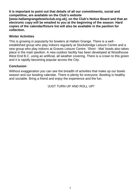**It is important to point out that details of all our commitments, social and competitive, are available on the Club's website** 

**[www.hallamgrangebowlsclub.org.uk], on the Club's Notice Board and that an electronic copy will be emailed to you at the beginning of the season**. **Hard copies of the calendar/fixture list will also be available in the pavilion for collection.**

#### **Winter Activities**

This is growing in popularity for bowlers at Hallam Grange. There is a well established group who play indoors regularly at Stocksbridge Leisure Centre and a new group who play indoors at Graves Leisure Centre. 'Short - Mat' bowls also takes place in the main pavilion. A new outdoor facility has been developed at Woodhouse West End B.C. using an artificial, all weather covering. There is a crown to this green and it is rapidly becoming popular across the City.

## **Conclusion**

Without exaggeration you can see the breadth of activities that make up our bowls season and our bowling calendar. There is plenty for everyone. Bowling is healthy and sociable. Bring a friend and enjoy the experience and the fun.

'JUST TURN UP AND ROLL UP!'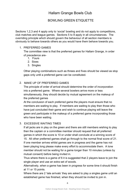## Hallam Grange Bowls Club

#### BOWLING GREEN ETIQUETTE

Sections 1,2,3 and 4 apply only to 'social' bowling and do not apply to competitions, club matches and league games. Sections 5 to 8 apply in all circumstances. The overriding principle which should govern the behaviour of all section members is obviously to behave towards others as you would have them behave towards you.

#### 1. PREFERRED GAMES

The committee view is that the preferred games for Hallam Grange, in order of precedence are-

- 1. Fours
- 2. Sixes
- 3. Singles

Other playing combinations such as threes and fives should be viewed as stop gaps only until a preferred game can be constituted.

#### 2. MAKE UP OF PREFERRED GAMES

The principle of order of arrival should determine the order of incorporation into a preferred game. Where several bowlers arrive more or less simultaneously, they should decide by mutual agreement on the makeup of the preferred games

At the conclusion of each preferred game the players must ensure that no members are waiting to play. If members are waiting to play then those who have just concluded their game and wish to continue playing will leave the green and participate in the makeup of a preferred game incorporating those who have been waiting.

#### 3. EXCESSIVE WAITING TIMES

If all jacks are in play on the green and there are still members wishing to play then the captain or a committee member should request that all preferred games in which the score is 10 or under shall conclude at a winning score of 15. All other preferred games shall go through to the normal final score of 21. If one member arrives whilst games are in progress and the game has not been playing long please make every effort to accommodate them. A lone member should not be waiting for a game longer than 10 minutes (unless by mutual consent) before being invited in.

Thus where there is a game of 6 it is suggested that 2 players leave to join the single player and use an extra set of woods.

Alternatively, when a game has been in progress for some time it should finish at 11 or 15 points.

Where there are 2 'late arrivals' they are asked to play a singles game until an established game has finished, when they should be invited to join in.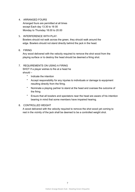#### 4. ARRANGED FOURS

Arranged fours are permitted at all times except Each day 13.30 to 16 00 Monday to Thursday 18.00 to 20.00

5. INTERFERENCE WITH PLAY.

Bowlers should not walk across the green, they should walk around the edge. Bowlers should not stand directly behind the jack in the head.

6. FIRING

Any wood delivered with the velocity required to remove the shot wood from the playing surface or to destroy the head should be deemed a firing shot.

#### 7. REQUIREMENTS ON USING A FIRING

SHOT If a player wishes to fire at a head he should –

- Indicate the intention
- Accept responsibility for any injuries to individuals or damage to equipment resulting directly from the firing.
- Nominate a playing partner to stand at the head and oversee the outcome of the firing
- Ensure that all bowlers and spectators near the head are aware of his intention bearing in mind that some members have impaired hearing.

#### 8. CONTROLLED WEIGHT

A wood delivered with the velocity required to remove the shot wood yet coming to rest in the vicinity of the jack shall be deemed to be a controlled weight shot.